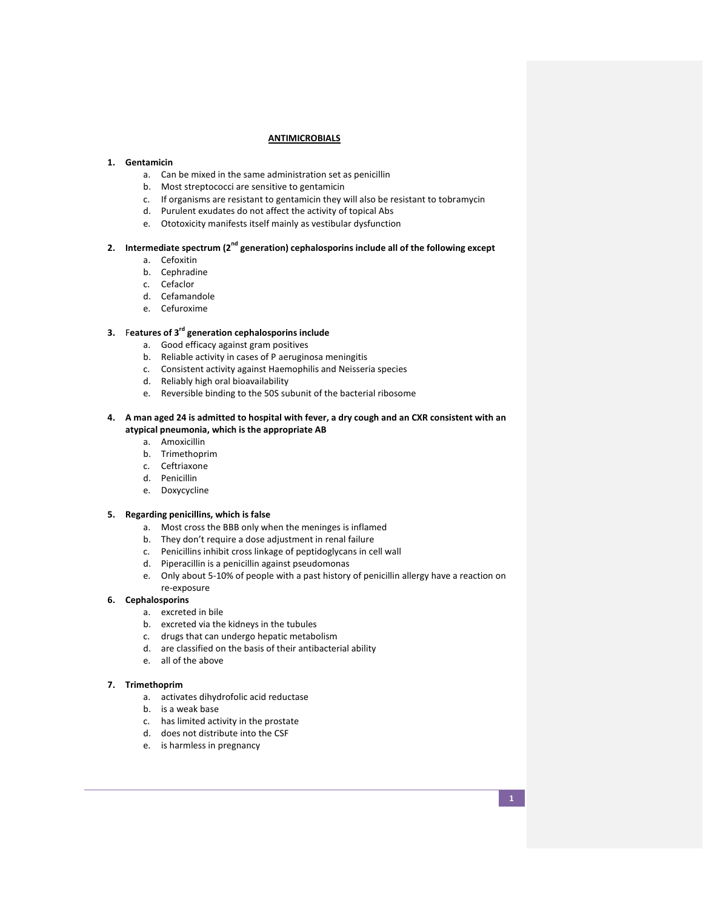### **ANTIMICROBIALS**

#### **1. Gentamicin**

- a. Can be mixed in the same administration set as penicillin
- b. Most streptococci are sensitive to gentamicin
- c. If organisms are resistant to gentamicin they will also be resistant to tobramycin
- d. Purulent exudates do not affect the activity of topical Abs
- e. Ototoxicity manifests itself mainly as vestibular dysfunction

# **2. Intermediate spectrum (2nd generation) cephalosporins include all of the following except**

- a. Cefoxitin
- b. Cephradine
- c. Cefaclor
- d. Cefamandole
- e. Cefuroxime

## **3.** F**eatures of 3rd generation cephalosporins include**

- a. Good efficacy against gram positives
- b. Reliable activity in cases of P aeruginosa meningitis
- c. Consistent activity against Haemophilis and Neisseria species
- d. Reliably high oral bioavailability
- e. Reversible binding to the 50S subunit of the bacterial ribosome

### **4. A man aged 24 is admitted to hospital with fever, a dry cough and an CXR consistent with an atypical pneumonia, which is the appropriate AB**

- a. Amoxicillin
- b. Trimethoprim
- c. Ceftriaxone
- d. Penicillin
- e. Doxycycline

### **5. Regarding penicillins, which is false**

- a. Most cross the BBB only when the meninges is inflamed
- b. They don't require a dose adjustment in renal failure
- c. Penicillins inhibit cross linkage of peptidoglycans in cell wall
- d. Piperacillin is a penicillin against pseudomonas
- e. Only about 5-10% of people with a past history of penicillin allergy have a reaction on re-exposure

### **6. Cephalosporins**

- a. excreted in bile
- b. excreted via the kidneys in the tubules
- c. drugs that can undergo hepatic metabolism
- d. are classified on the basis of their antibacterial ability
- e. all of the above

### **7. Trimethoprim**

- a. activates dihydrofolic acid reductase
- b. is a weak base
- c. has limited activity in the prostate
- d. does not distribute into the CSF
- e. is harmless in pregnancy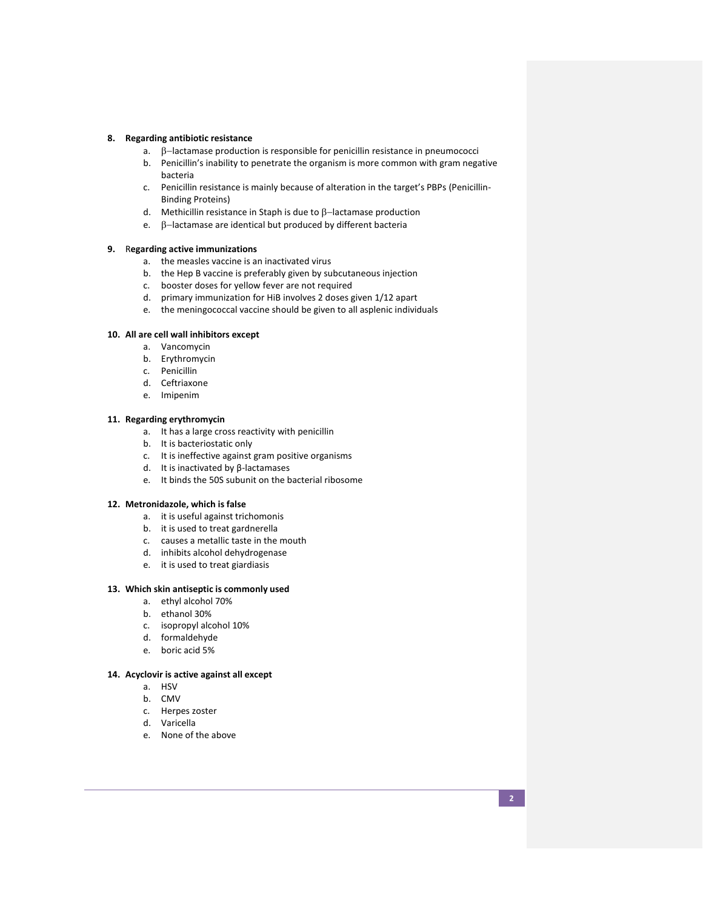#### **8. Regarding antibiotic resistance**

- a.  $\beta$ -lactamase production is responsible for penicillin resistance in pneumococci
- b. Penicillin's inability to penetrate the organism is more common with gram negative bacteria
- c. Penicillin resistance is mainly because of alteration in the target's PBPs (Penicillin-Binding Proteins)
- d. Methicillin resistance in Staph is due to  $\beta$ -lactamase production
- e.  $\beta$ -lactamase are identical but produced by different bacteria

#### **9.** R**egarding active immunizations**

- a. the measles vaccine is an inactivated virus
- b. the Hep B vaccine is preferably given by subcutaneous injection
- c. booster doses for yellow fever are not required
- d. primary immunization for HiB involves 2 doses given 1/12 apart
- e. the meningococcal vaccine should be given to all asplenic individuals

# **10. All are cell wall inhibitors except**

- a. Vancomycin
- b. Erythromycin
- c. Penicillin
- d. Ceftriaxone
- e. Imipenim

### **11. Regarding erythromycin**

- a. It has a large cross reactivity with penicillin
- b. It is bacteriostatic only
- c. It is ineffective against gram positive organisms
- d. It is inactivated by β-lactamases
- e. It binds the 50S subunit on the bacterial ribosome

#### **12. Metronidazole, which is false**

- a. it is useful against trichomonis
- b. it is used to treat gardnerella
- c. causes a metallic taste in the mouth
- d. inhibits alcohol dehydrogenase
- e. it is used to treat giardiasis

# **13. Which skin antiseptic is commonly used**

- a. ethyl alcohol 70%
- b. ethanol 30%
- c. isopropyl alcohol 10%
- d. formaldehyde
- e. boric acid 5%

#### **14. Acyclovir is active against all except**

- a. HSV
- b. CMV
- c. Herpes zoster
- d. Varicella
- e. None of the above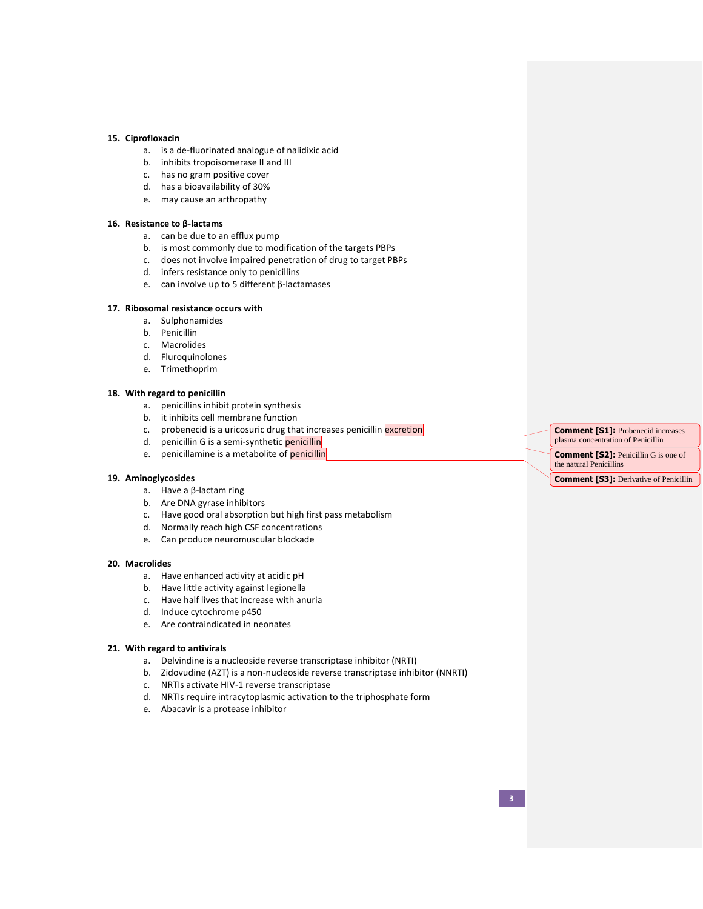#### **15. Ciprofloxacin**

- a. is a de-fluorinated analogue of nalidixic acid
- b. inhibits tropoisomerase II and III
- c. has no gram positive cover
- d. has a bioavailability of 30%
- e. may cause an arthropathy

#### **16. Resistance to β-lactams**

- a. can be due to an efflux pump
- b. is most commonly due to modification of the targets PBPs
- c. does not involve impaired penetration of drug to target PBPs
- d. infers resistance only to penicillins
- e. can involve up to 5 different β-lactamases

# **17. Ribosomal resistance occurs with**

- a. Sulphonamides
- b. Penicillin
- c. Macrolides
- d. Fluroquinolones
- e. Trimethoprim

#### **18. With regard to penicillin**

- a. penicillins inhibit protein synthesis
- b. it inhibits cell membrane function
- c. probenecid is a uricosuric drug that increases penicillin excretion
- d. penicillin G is a semi-synthetic penicillin
- e. penicillamine is a metabolite of penicillin

# **19. Aminoglycosides**

- a. Have a β-lactam ring
- b. Are DNA gyrase inhibitors
- c. Have good oral absorption but high first pass metabolism
- d. Normally reach high CSF concentrations
- e. Can produce neuromuscular blockade

#### **20. Macrolides**

- a. Have enhanced activity at acidic pH
- b. Have little activity against legionella
- c. Have half lives that increase with anuria
- d. Induce cytochrome p450
- e. Are contraindicated in neonates

#### **21. With regard to antivirals**

- a. Delvindine is a nucleoside reverse transcriptase inhibitor (NRTI)
- b. Zidovudine (AZT) is a non-nucleoside reverse transcriptase inhibitor (NNRTI)
- c. NRTIs activate HIV-1 reverse transcriptase
- d. NRTIs require intracytoplasmic activation to the triphosphate form
- e. Abacavir is a protease inhibitor

**Comment [S1]:** Probenecid increases plasma concentration of Penicillin

**Comment [S2]:** Penicillin G is one of the natural Penicillins

**Comment [S3]:** Derivative of Penicillin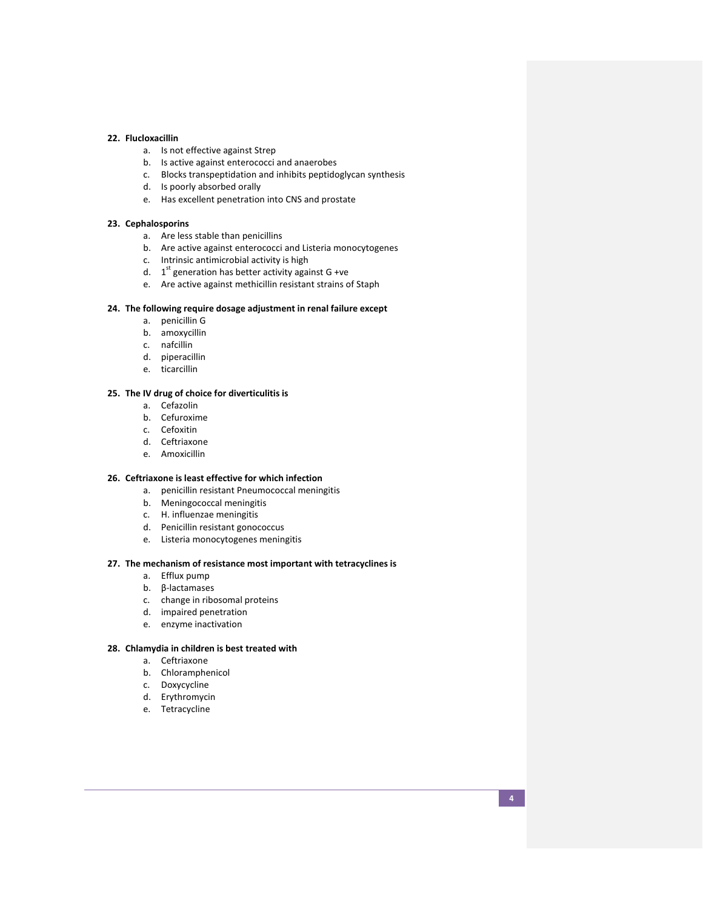### **22. Flucloxacillin**

- a. Is not effective against Strep
- b. Is active against enterococci and anaerobes
- c. Blocks transpeptidation and inhibits peptidoglycan synthesis
- d. Is poorly absorbed orally
- e. Has excellent penetration into CNS and prostate

#### **23. Cephalosporins**

- a. Are less stable than penicillins
- b. Are active against enterococci and Listeria monocytogenes
- c. Intrinsic antimicrobial activity is high
- d.  $1<sup>st</sup>$  generation has better activity against G +ve
- e. Are active against methicillin resistant strains of Staph

### **24. The following require dosage adjustment in renal failure except**

- a. penicillin G
- b. amoxycillin
- c. nafcillin
- d. piperacillin
- e. ticarcillin

# **25. The IV drug of choice for diverticulitis is**

- a. Cefazolin
- b. Cefuroxime
- c. Cefoxitin
- d. Ceftriaxone
- e. Amoxicillin

# **26. Ceftriaxone is least effective for which infection**

- a. penicillin resistant Pneumococcal meningitis
- b. Meningococcal meningitis
- c. H. influenzae meningitis
- d. Penicillin resistant gonococcus
- e. Listeria monocytogenes meningitis

# **27. The mechanism of resistance most important with tetracyclines is**

- a. Efflux pump
- b. β-lactamases
- c. change in ribosomal proteins
- d. impaired penetration
- e. enzyme inactivation

#### **28. Chlamydia in children is best treated with**

- a. Ceftriaxone
- b. Chloramphenicol
- c. Doxycycline
- d. Erythromycin
- e. Tetracycline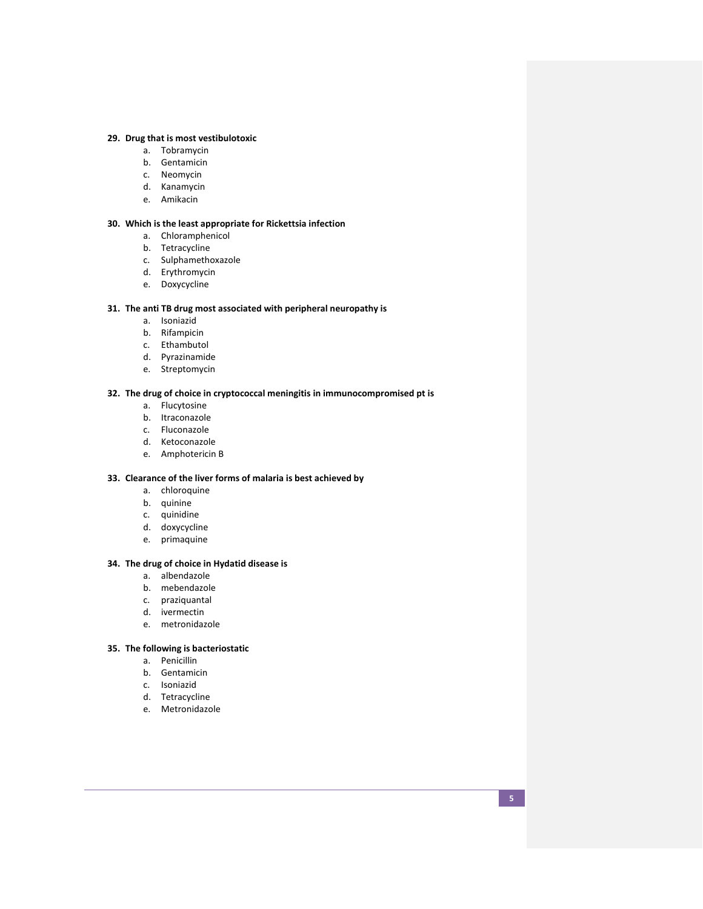### **29. Drug that is most vestibulotoxic**

- a. Tobramycin
- b. Gentamicin
- c. Neomycin
- d. Kanamycin
- e. Amikacin

# **30. Which is the least appropriate for Rickettsia infection**

- a. Chloramphenicol
- b. Tetracycline
- c. Sulphamethoxazole
- d. Erythromycin
- e. Doxycycline

### **31. The anti TB drug most associated with peripheral neuropathy is**

- a. Isoniazid
- b. Rifampicin
- c. Ethambutol
- d. Pyrazinamide
- e. Streptomycin

# **32. The drug of choice in cryptococcal meningitis in immunocompromised pt is**

- a. Flucytosine
- b. Itraconazole
- c. Fluconazole
- d. Ketoconazole
- e. Amphotericin B

### **33. Clearance of the liver forms of malaria is best achieved by**

- a. chloroquine
- b. quinine
- c. quinidine
- d. doxycycline
- e. primaquine

# **34. The drug of choice in Hydatid disease is**

- a. albendazole
- b. mebendazole
- c. praziquantal
- d. ivermectin
- e. metronidazole

# **35. The following is bacteriostatic**

- a. Penicillin
- b. Gentamicin
- c. Isoniazid
- d. Tetracycline
- e. Metronidazole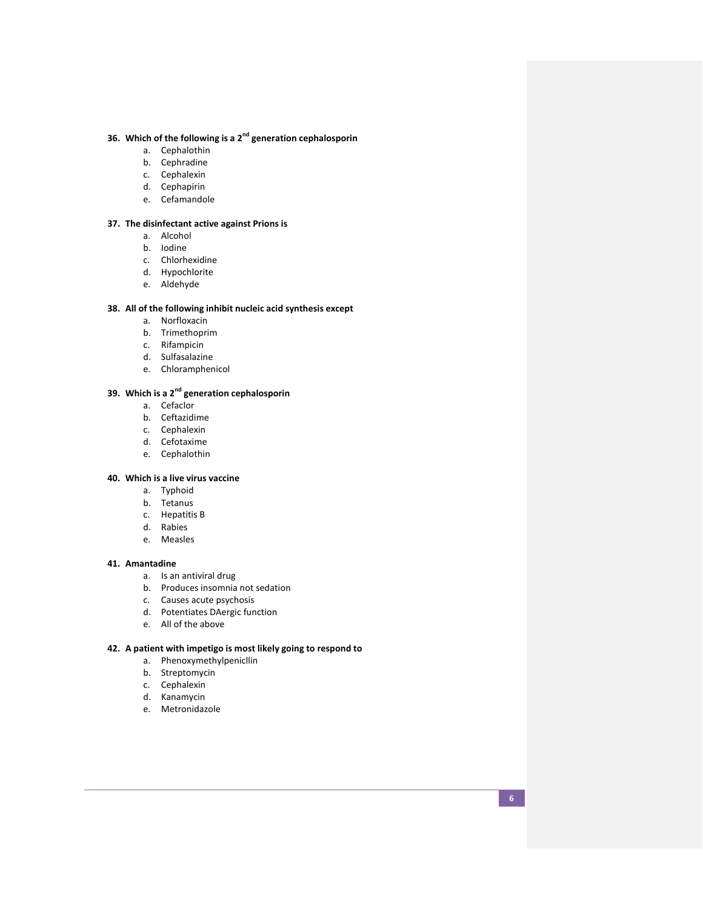# **36. Which of the following is a 2nd generation cephalosporin**

- a. Cephalothin
- b. Cephradine
- c. Cephalexin
- d. Cephapirin
- e. Cefamandole

# **37. The disinfectant active against Prions is**

- a. Alcohol
- b. Iodine
- c. Chlorhexidine
- d. Hypochlorite
- e. Aldehyde

### **38. All of the following inhibit nucleic acid synthesis except**

- a. Norfloxacin
- b. Trimethoprim
- c. Rifampicin
- d. Sulfasalazine
- e. Chloramphenicol

# **39. Which is a 2nd generation cephalosporin**

- a. Cefaclor
- b. Ceftazidime
- c. Cephalexin
- d. Cefotaxime
- e. Cephalothin

### **40. Which is a live virus vaccine**

- a. Typhoid
- b. Tetanus
- c. Hepatitis B
- d. Rabies
- e. Measles

### **41. Amantadine**

- a. Is an antiviral drug
- b. Produces insomnia not sedation
- c. Causes acute psychosis
- d. Potentiates DAergic function
- e. All of the above

# **42. A patient with impetigo is most likely going to respond to**

- a. Phenoxymethylpenicllin
- b. Streptomycin
- c. Cephalexin
- d. Kanamycin
- e. Metronidazole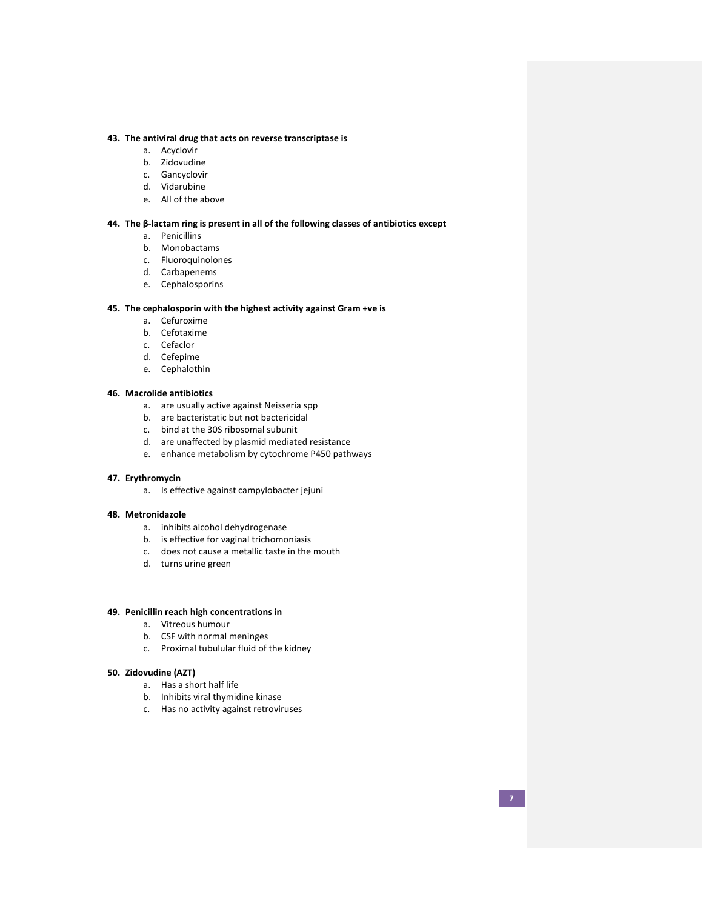### **43. The antiviral drug that acts on reverse transcriptase is**

- a. Acyclovir
- b. Zidovudine
- c. Gancyclovir
- d. Vidarubine
- e. All of the above

#### **44. The β-lactam ring is present in all of the following classes of antibiotics except**

- a. Penicillins
- b. Monobactams
- c. Fluoroquinolones
- d. Carbapenems
- e. Cephalosporins

### **45. The cephalosporin with the highest activity against Gram +ve is**

- a. Cefuroxime
- b. Cefotaxime
- c. Cefaclor
- d. Cefepime
- e. Cephalothin

# **46. Macrolide antibiotics**

- a. are usually active against Neisseria spp
- b. are bacteristatic but not bactericidal
- c. bind at the 30S ribosomal subunit
- d. are unaffected by plasmid mediated resistance
- e. enhance metabolism by cytochrome P450 pathways

# **47. Erythromycin**

a. Is effective against campylobacter jejuni

#### **48. Metronidazole**

- a. inhibits alcohol dehydrogenase
- b. is effective for vaginal trichomoniasis
- c. does not cause a metallic taste in the mouth
- d. turns urine green

### **49. Penicillin reach high concentrations in**

- a. Vitreous humour
- b. CSF with normal meninges
- c. Proximal tubulular fluid of the kidney

#### **50. Zidovudine (AZT)**

- a. Has a short half life
- b. Inhibits viral thymidine kinase
- c. Has no activity against retroviruses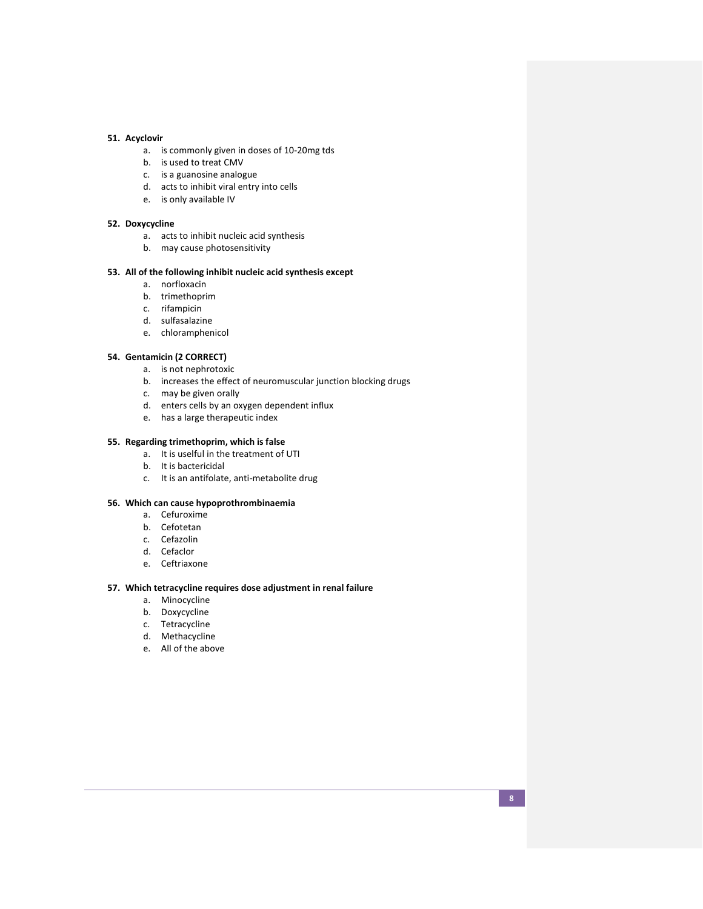### **51. Acyclovir**

- a. is commonly given in doses of 10-20mg tds
- b. is used to treat CMV
- c. is a guanosine analogue
- d. acts to inhibit viral entry into cells
- e. is only available IV

#### **52. Doxycycline**

- a. acts to inhibit nucleic acid synthesis
- b. may cause photosensitivity

# **53. All of the following inhibit nucleic acid synthesis except**

- a. norfloxacin
- b. trimethoprim
- c. rifampicin
- d. sulfasalazine
- e. chloramphenicol

# **54. Gentamicin (2 CORRECT)**

- a. is not nephrotoxic
- b. increases the effect of neuromuscular junction blocking drugs
- c. may be given orally
- d. enters cells by an oxygen dependent influx
- e. has a large therapeutic index

# **55. Regarding trimethoprim, which is false**

- a. It is uselful in the treatment of UTI
- b. It is bactericidal
- c. It is an antifolate, anti-metabolite drug

#### **56. Which can cause hypoprothrombinaemia**

- a. Cefuroxime
- b. Cefotetan
- c. Cefazolin
- d. Cefaclor
- e. Ceftriaxone

## **57. Which tetracycline requires dose adjustment in renal failure**

- a. Minocycline
- b. Doxycycline
- c. Tetracycline
- d. Methacycline
- e. All of the above